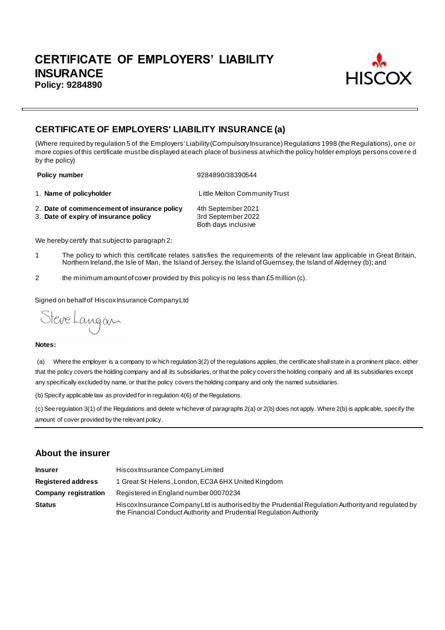

# **CERTIFICATE OF EMPLOYERS' LIABILITY INSURANCE (a)**

(Where required by regulation 5 of the Employers' Liability (Compulsory Insurance) Regulations 1998 (the Regulations), one or more copies of this certificate must be displayed at each place of business at which the policy holder employs persons covere d by the policy)

**Policy number** 9284890/38390544

1. **Name of policyholder** Little Melton Community Trust

- 2. **Date of commencement of insurance policy** 4th September 2021<br>3. **Date of expiry of insurance policy** 3rd September 2022
- 3. Date of expiry of insurance policy

Both days inclusive

We hereby certify that subject to paragraph 2:

- 1 The policy to which this certificate relates satisfies the requirements of the relevant law applicable in Great Britain, Northern Ireland, the Isle of Man, the Island of Jersey, the Island of Guernsey, the Island of Alderney (b); and
- 2 the minimum amount of cover provided by this policy is no less than £5 million (c).

Signed on behalf of Hiscox Insurance Company Ltd

Steve Langan

#### **Notes:**

(a) Where the employer is a company to w hich regulation 3(2) of the regulations applies, the certificate shall state in a prominent place, either that the policy covers the holding company and all its subsidiaries, or that the policy covers the holding company and all its subsidiaries except any specifically excluded by name, or that the policy covers the holding company and only the named subsidiaries.

(b) Specify applicable law as provided for in regulation 4(6) of the Regulations.

(c) See regulation 3(1) of the Regulations and delete w hichever of paragraphs 2(a) or 2(b) does not apply. Where 2(b) is applicable, specify the amount of cover provided by the relevant policy.

## **About the insurer**

| <b>Insurer</b>              | Hiscox Insurance Company Limited                                                                                                                                          |
|-----------------------------|---------------------------------------------------------------------------------------------------------------------------------------------------------------------------|
| <b>Registered address</b>   | 1 Great St Helens, London, EC3A 6HX United Kingdom                                                                                                                        |
| <b>Company registration</b> | Registered in England number 00070234                                                                                                                                     |
| <b>Status</b>               | Hiscox Insurance Company Ltd is authorised by the Prudential Regulation Authority and regulated by<br>the Financial Conduct Authority and Prudential Regulation Authority |